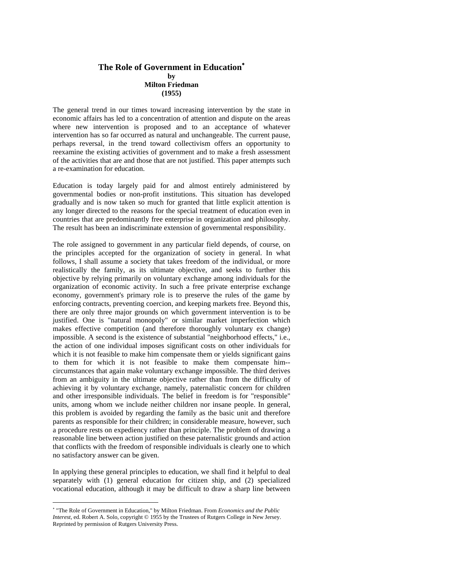## **The Role of Government in Education**[∗](#page-0-0) **by Milton Friedman (1955)**

The general trend in our times toward increasing intervention by the state in economic affairs has led to a concentration of attention and dispute on the areas where new intervention is proposed and to an acceptance of whatever intervention has so far occurred as natural and unchangeable. The current pause, perhaps reversal, in the trend toward collectivism offers an opportunity to reexamine the existing activities of government and to make a fresh assessment of the activities that are and those that are not justified. This paper attempts such a re-examination for education.

Education is today largely paid for and almost entirely administered by governmental bodies or non-profit institutions. This situation has developed gradually and is now taken so much for granted that little explicit attention is any longer directed to the reasons for the special treatment of education even in countries that are predominantly free enterprise in organization and philosophy. The result has been an indiscriminate extension of governmental responsibility.

The role assigned to government in any particular field depends, of course, on the principles accepted for the organization of society in general. In what follows, I shall assume a society that takes freedom of the individual, or more realistically the family, as its ultimate objective, and seeks to further this objective by relying primarily on voluntary exchange among individuals for the organization of economic activity. In such a free private enterprise exchange economy, government's primary role is to preserve the rules of the game by enforcing contracts, preventing coercion, and keeping markets free. Beyond this, there are only three major grounds on which government intervention is to be justified. One is "natural monopoly" or similar market imperfection which makes effective competition (and therefore thoroughly voluntary ex change) impossible. A second is the existence of substantial "neighborhood effects," i.e., the action of one individual imposes significant costs on other individuals for which it is not feasible to make him compensate them or yields significant gains to them for which it is not feasible to make them compensate him- circumstances that again make voluntary exchange impossible. The third derives from an ambiguity in the ultimate objective rather than from the difficulty of achieving it by voluntary exchange, namely, paternalistic concern for children and other irresponsible individuals. The belief in freedom is for "responsible" units, among whom we include neither children nor insane people. In general, this problem is avoided by regarding the family as the basic unit and therefore parents as responsible for their children; in considerable measure, however, such a procedure rests on expediency rather than principle. The problem of drawing a reasonable line between action justified on these paternalistic grounds and action that conflicts with the freedom of responsible individuals is clearly one to which no satisfactory answer can be given.

In applying these general principles to education, we shall find it helpful to deal separately with (1) general education for citizen ship, and (2) specialized vocational education, although it may be difficult to draw a sharp line between

<span id="page-0-0"></span><sup>∗</sup> "The Role of Government in Education," by Milton Friedman. From *Economics and the Public Interest*, ed. Robert A. Solo, copyright © 1955 by the Trustees of Rutgers College in New Jersey. Reprinted by permission of Rutgers University Press.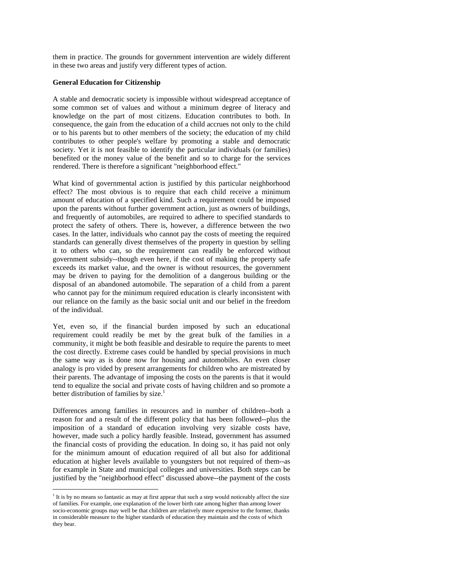them in practice. The grounds for government intervention are widely different in these two areas and justify very different types of action.

## **General Education for Citizenship**

A stable and democratic society is impossible without widespread acceptance of some common set of values and without a minimum degree of literacy and knowledge on the part of most citizens. Education contributes to both. In consequence, the gain from the education of a child accrues not only to the child or to his parents but to other members of the society; the education of my child contributes to other people's welfare by promoting a stable and democratic society. Yet it is not feasible to identify the particular individuals (or families) benefited or the money value of the benefit and so to charge for the services rendered. There is therefore a significant "neighborhood effect."

What kind of governmental action is justified by this particular neighborhood effect? The most obvious is to require that each child receive a minimum amount of education of a specified kind. Such a requirement could be imposed upon the parents without further government action, just as owners of buildings, and frequently of automobiles, are required to adhere to specified standards to protect the safety of others. There is, however, a difference between the two cases. In the latter, individuals who cannot pay the costs of meeting the required standards can generally divest themselves of the property in question by selling it to others who can, so the requirement can readily be enforced without government subsidy--though even here, if the cost of making the property safe exceeds its market value, and the owner is without resources, the government may be driven to paying for the demolition of a dangerous building or the disposal of an abandoned automobile. The separation of a child from a parent who cannot pay for the minimum required education is clearly inconsistent with our reliance on the family as the basic social unit and our belief in the freedom of the individual.

Yet, even so, if the financial burden imposed by such an educational requirement could readily be met by the great bulk of the families in a community, it might be both feasible and desirable to require the parents to meet the cost directly. Extreme cases could be handled by special provisions in much the same way as is done now for housing and automobiles. An even closer analogy is pro vided by present arrangements for children who are mistreated by their parents. The advantage of imposing the costs on the parents is that it would tend to equalize the social and private costs of having children and so promote a better distribution of families by size.<sup>[1](#page-1-0)</sup>

Differences among families in resources and in number of children--both a reason for and a result of the different policy that has been followed--plus the imposition of a standard of education involving very sizable costs have, however, made such a policy hardly feasible. Instead, government has assumed the financial costs of providing the education. In doing so, it has paid not only for the minimum amount of education required of all but also for additional education at higher levels available to youngsters but not required of them--as for example in State and municipal colleges and universities. Both steps can be justified by the "neighborhood effect" discussed above--the payment of the costs

<span id="page-1-0"></span><sup>&</sup>lt;sup>1</sup> It is by no means so fantastic as may at first appear that such a step would noticeably affect the size of families. For example, one explanation of the lower birth rate among higher than among lower socio-economic groups may well be that children are relatively more expensive to the former, thanks in considerable measure to the higher standards of education they maintain and the costs of which they bear.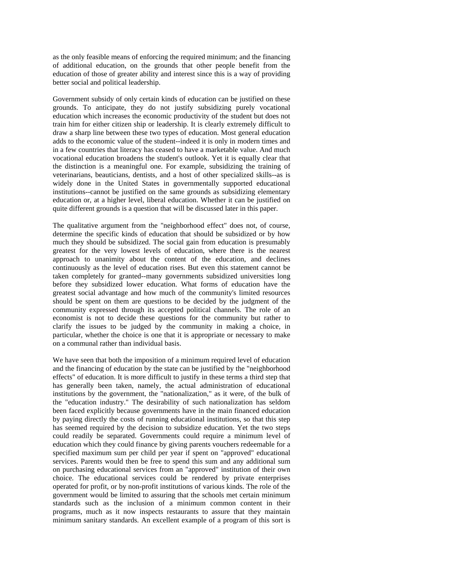as the only feasible means of enforcing the required minimum; and the financing of additional education, on the grounds that other people benefit from the education of those of greater ability and interest since this is a way of providing better social and political leadership.

Government subsidy of only certain kinds of education can be justified on these grounds. To anticipate, they do not justify subsidizing purely vocational education which increases the economic productivity of the student but does not train him for either citizen ship or leadership. It is clearly extremely difficult to draw a sharp line between these two types of education. Most general education adds to the economic value of the student--indeed it is only in modern times and in a few countries that literacy has ceased to have a marketable value. And much vocational education broadens the student's outlook. Yet it is equally clear that the distinction is a meaningful one. For example, subsidizing the training of veterinarians, beauticians, dentists, and a host of other specialized skills--as is widely done in the United States in governmentally supported educational institutions--cannot be justified on the same grounds as subsidizing elementary education or, at a higher level, liberal education. Whether it can be justified on quite different grounds is a question that will be discussed later in this paper.

The qualitative argument from the "neighborhood effect" does not, of course, determine the specific kinds of education that should be subsidized or by how much they should be subsidized. The social gain from education is presumably greatest for the very lowest levels of education, where there is the nearest approach to unanimity about the content of the education, and declines continuously as the level of education rises. But even this statement cannot be taken completely for granted--many governments subsidized universities long before they subsidized lower education. What forms of education have the greatest social advantage and how much of the community's limited resources should be spent on them are questions to be decided by the judgment of the community expressed through its accepted political channels. The role of an economist is not to decide these questions for the community but rather to clarify the issues to be judged by the community in making a choice, in particular, whether the choice is one that it is appropriate or necessary to make on a communal rather than individual basis.

We have seen that both the imposition of a minimum required level of education and the financing of education by the state can be justified by the "neighborhood effects" of education. It is more difficult to justify in these terms a third step that has generally been taken, namely, the actual administration of educational institutions by the government, the "nationalization," as it were, of the bulk of the "education industry." The desirability of such nationalization has seldom been faced explicitly because governments have in the main financed education by paying directly the costs of running educational institutions, so that this step has seemed required by the decision to subsidize education. Yet the two steps could readily be separated. Governments could require a minimum level of education which they could finance by giving parents vouchers redeemable for a specified maximum sum per child per year if spent on "approved" educational services. Parents would then be free to spend this sum and any additional sum on purchasing educational services from an "approved" institution of their own choice. The educational services could be rendered by private enterprises operated for profit, or by non-profit institutions of various kinds. The role of the government would be limited to assuring that the schools met certain minimum standards such as the inclusion of a minimum common content in their programs, much as it now inspects restaurants to assure that they maintain minimum sanitary standards. An excellent example of a program of this sort is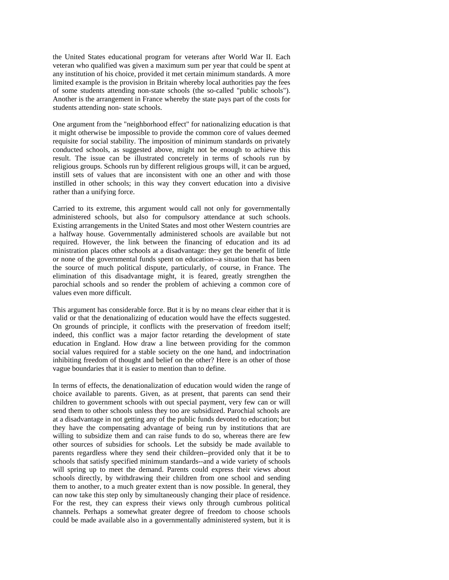the United States educational program for veterans after World War II. Each veteran who qualified was given a maximum sum per year that could be spent at any institution of his choice, provided it met certain minimum standards. A more limited example is the provision in Britain whereby local authorities pay the fees of some students attending non-state schools (the so-called "public schools"). Another is the arrangement in France whereby the state pays part of the costs for students attending non- state schools.

One argument from the "neighborhood effect" for nationalizing education is that it might otherwise be impossible to provide the common core of values deemed requisite for social stability. The imposition of minimum standards on privately conducted schools, as suggested above, might not be enough to achieve this result. The issue can be illustrated concretely in terms of schools run by religious groups. Schools run by different religious groups will, it can be argued, instill sets of values that are inconsistent with one an other and with those instilled in other schools; in this way they convert education into a divisive rather than a unifying force.

Carried to its extreme, this argument would call not only for governmentally administered schools, but also for compulsory attendance at such schools. Existing arrangements in the United States and most other Western countries are a halfway house. Governmentally administered schools are available but not required. However, the link between the financing of education and its ad ministration places other schools at a disadvantage: they get the benefit of little or none of the governmental funds spent on education--a situation that has been the source of much political dispute, particularly, of course, in France. The elimination of this disadvantage might, it is feared, greatly strengthen the parochial schools and so render the problem of achieving a common core of values even more difficult.

This argument has considerable force. But it is by no means clear either that it is valid or that the denationalizing of education would have the effects suggested. On grounds of principle, it conflicts with the preservation of freedom itself; indeed, this conflict was a major factor retarding the development of state education in England. How draw a line between providing for the common social values required for a stable society on the one hand, and indoctrination inhibiting freedom of thought and belief on the other? Here is an other of those vague boundaries that it is easier to mention than to define.

In terms of effects, the denationalization of education would widen the range of choice available to parents. Given, as at present, that parents can send their children to government schools with out special payment, very few can or will send them to other schools unless they too are subsidized. Parochial schools are at a disadvantage in not getting any of the public funds devoted to education; but they have the compensating advantage of being run by institutions that are willing to subsidize them and can raise funds to do so, whereas there are few other sources of subsidies for schools. Let the subsidy be made available to parents regardless where they send their children--provided only that it be to schools that satisfy specified minimum standards--and a wide variety of schools will spring up to meet the demand. Parents could express their views about schools directly, by withdrawing their children from one school and sending them to another, to a much greater extent than is now possible. In general, they can now take this step only by simultaneously changing their place of residence. For the rest, they can express their views only through cumbrous political channels. Perhaps a somewhat greater degree of freedom to choose schools could be made available also in a governmentally administered system, but it is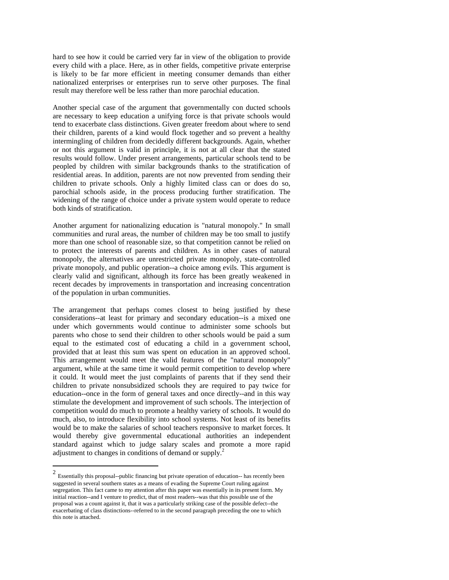hard to see how it could be carried very far in view of the obligation to provide every child with a place. Here, as in other fields, competitive private enterprise is likely to be far more efficient in meeting consumer demands than either nationalized enterprises or enterprises run to serve other purposes. The final result may therefore well be less rather than more parochial education.

Another special case of the argument that governmentally con ducted schools are necessary to keep education a unifying force is that private schools would tend to exacerbate class distinctions. Given greater freedom about where to send their children, parents of a kind would flock together and so prevent a healthy intermingling of children from decidedly different backgrounds. Again, whether or not this argument is valid in principle, it is not at all clear that the stated results would follow. Under present arrangements, particular schools tend to be peopled by children with similar backgrounds thanks to the stratification of residential areas. In addition, parents are not now prevented from sending their children to private schools. Only a highly limited class can or does do so, parochial schools aside, in the process producing further stratification. The widening of the range of choice under a private system would operate to reduce both kinds of stratification.

Another argument for nationalizing education is "natural monopoly." In small communities and rural areas, the number of children may be too small to justify more than one school of reasonable size, so that competition cannot be relied on to protect the interests of parents and children. As in other cases of natural monopoly, the alternatives are unrestricted private monopoly, state-controlled private monopoly, and public operation--a choice among evils. This argument is clearly valid and significant, although its force has been greatly weakened in recent decades by improvements in transportation and increasing concentration of the population in urban communities.

The arrangement that perhaps comes closest to being justified by these considerations--at least for primary and secondary education--is a mixed one under which governments would continue to administer some schools but parents who chose to send their children to other schools would be paid a sum equal to the estimated cost of educating a child in a government school, provided that at least this sum was spent on education in an approved school. This arrangement would meet the valid features of the "natural monopoly" argument, while at the same time it would permit competition to develop where it could. It would meet the just complaints of parents that if they send their children to private nonsubsidized schools they are required to pay twice for education--once in the form of general taxes and once directly--and in this way stimulate the development and improvement of such schools. The interjection of competition would do much to promote a healthy variety of schools. It would do much, also, to introduce flexibility into school systems. Not least of its benefits would be to make the salaries of school teachers responsive to market forces. It would thereby give governmental educational authorities an independent standard against which to judge salary scales and promote a more rapid adjustment to changes in conditions of demand or supply. $^{2}$  $^{2}$  $^{2}$ 

<span id="page-4-0"></span><sup>&</sup>lt;sup>2</sup> Essentially this proposal--public financing but private operation of education-- has recently been suggested in several southern states as a means of evading the Supreme Court ruling against segregation. This fact came to my attention after this paper was essentially in its present form. My initial reaction--and I venture to predict, that of most readers--was that this possible use of the proposal was a count against it, that it was a particularly striking case of the possible defect--the exacerbating of class distinctions--referred to in the second paragraph preceding the one to which this note is attached.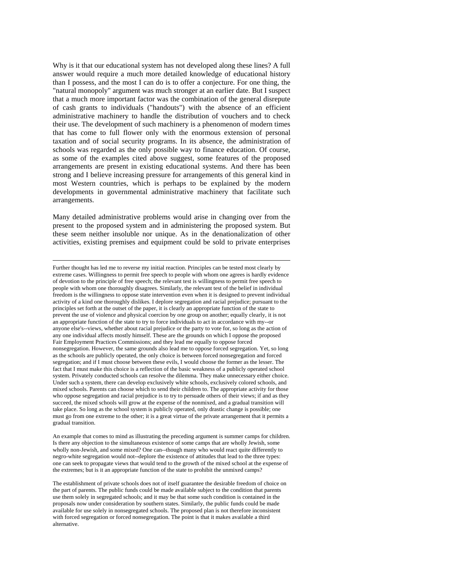Why is it that our educational system has not developed along these lines? A full answer would require a much more detailed knowledge of educational history than I possess, and the most I can do is to offer a conjecture. For one thing, the "natural monopoly" argument was much stronger at an earlier date. But I suspect that a much more important factor was the combination of the general disrepute of cash grants to individuals ("handouts") with the absence of an efficient administrative machinery to handle the distribution of vouchers and to check their use. The development of such machinery is a phenomenon of modern times that has come to full flower only with the enormous extension of personal taxation and of social security programs. In its absence, the administration of schools was regarded as the only possible way to finance education. Of course, as some of the examples cited above suggest, some features of the proposed arrangements are present in existing educational systems. And there has been strong and I believe increasing pressure for arrangements of this general kind in most Western countries, which is perhaps to be explained by the modern developments in governmental administrative machinery that facilitate such arrangements.

Many detailed administrative problems would arise in changing over from the present to the proposed system and in administering the proposed system. But these seem neither insoluble nor unique. As in the denationalization of other activities, existing premises and equipment could be sold to private enterprises

 $\overline{a}$ 

Further thought has led me to reverse my initial reaction. Principles can be tested most clearly by extreme cases. Willingness to permit free speech to people with whom one agrees is hardly evidence of devotion to the principle of free speech; the relevant test is willingness to permit free speech to people with whom one thoroughly disagrees. Similarly, the relevant test of the belief in individual freedom is the willingness to oppose state intervention even when it is designed to prevent individual activity of a kind one thoroughly dislikes. I deplore segregation and racial prejudice; pursuant to the principles set forth at the outset of the paper, it is clearly an appropriate function of the state to prevent the use of violence and physical coercion by one group on another; equally clearly, it is not an appropriate function of the state to try to force individuals to act in accordance with my--or anyone else's--views, whether about racial prejudice or the party to vote for, so long as the action of any one individual affects mostly himself. These are the grounds on which I oppose the proposed Fair Employment Practices Commissions; and they lead me equally to oppose forced nonsegregation. However, the same grounds also lead me to oppose forced segregation. Yet, so long as the schools are publicly operated, the only choice is between forced nonsegregation and forced segregation; and if I must choose between these evils, I would choose the former as the lesser. The fact that I must make this choice is a reflection of the basic weakness of a publicly operated school system. Privately conducted schools can resolve the dilemma. They make unnecessary either choice. Under such a system, there can develop exclusively white schools, exclusively colored schools, and mixed schools. Parents can choose which to send their children to. The appropriate activity for those who oppose segregation and racial prejudice is to try to persuade others of their views; if and as they succeed, the mixed schools will grow at the expense of the nonmixed, and a gradual transition will take place. So long as the school system is publicly operated, only drastic change is possible; one must go from one extreme to the other; it is a great virtue of the private arrangement that it permits a gradual transition.

An example that comes to mind as illustrating the preceding argument is summer camps for children. Is there any objection to the simultaneous existence of some camps that are wholly Jewish, some wholly non-Jewish, and some mixed? One can--though many who would react quite differently to negro-white segregation would not--deplore the existence of attitudes that lead to the three types: one can seek to propagate views that would tend to the growth of the mixed school at the expense of the extremes; but is it an appropriate function of the state to prohibit the unmixed camps?

The establishment of private schools does not of itself guarantee the desirable freedom of choice on the part of parents. The public funds could be made available subject to the condition that parents use them solely in segregated schools; and it may be that some such condition is contained in the proposals now under consideration by southern states. Similarly, the public funds could be made available for use solely in nonsegregated schools. The proposed plan is not therefore inconsistent with forced segregation or forced nonsegregation. The point is that it makes available a third alternative.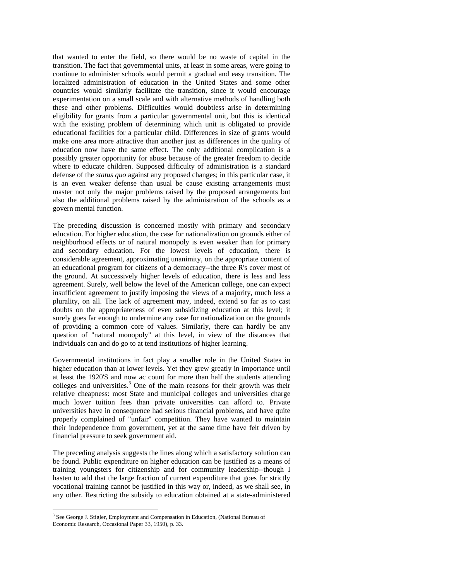that wanted to enter the field, so there would be no waste of capital in the transition. The fact that governmental units, at least in some areas, were going to continue to administer schools would permit a gradual and easy transition. The localized administration of education in the United States and some other countries would similarly facilitate the transition, since it would encourage experimentation on a small scale and with alternative methods of handling both these and other problems. Difficulties would doubtless arise in determining eligibility for grants from a particular governmental unit, but this is identical with the existing problem of determining which unit is obligated to provide educational facilities for a particular child. Differences in size of grants would make one area more attractive than another just as differences in the quality of education now have the same effect. The only additional complication is a possibly greater opportunity for abuse because of the greater freedom to decide where to educate children. Supposed difficulty of administration is a standard defense of the *status quo* against any proposed changes; in this particular case, it is an even weaker defense than usual be cause existing arrangements must master not only the major problems raised by the proposed arrangements but also the additional problems raised by the administration of the schools as a govern mental function.

The preceding discussion is concerned mostly with primary and secondary education. For higher education, the case for nationalization on grounds either of neighborhood effects or of natural monopoly is even weaker than for primary and secondary education. For the lowest levels of education, there is considerable agreement, approximating unanimity, on the appropriate content of an educational program for citizens of a democracy--the three R's cover most of the ground. At successively higher levels of education, there is less and less agreement. Surely, well below the level of the American college, one can expect insufficient agreement to justify imposing the views of a majority, much less a plurality, on all. The lack of agreement may, indeed, extend so far as to cast doubts on the appropriateness of even subsidizing education at this level; it surely goes far enough to undermine any case for nationalization on the grounds of providing a common core of values. Similarly, there can hardly be any question of "natural monopoly" at this level, in view of the distances that individuals can and do go to at tend institutions of higher learning.

Governmental institutions in fact play a smaller role in the United States in higher education than at lower levels. Yet they grew greatly in importance until at least the 1920'S and now ac count for more than half the students attending colleges and universities. $3$  One of the main reasons for their growth was their relative cheapness: most State and municipal colleges and universities charge much lower tuition fees than private universities can afford to. Private universities have in consequence had serious financial problems, and have quite properly complained of "unfair" competition. They have wanted to maintain their independence from government, yet at the same time have felt driven by financial pressure to seek government aid.

The preceding analysis suggests the lines along which a satisfactory solution can be found. Public expenditure on higher education can be justified as a means of training youngsters for citizenship and for community leadership--though I hasten to add that the large fraction of current expenditure that goes for strictly vocational training cannot be justified in this way or, indeed, as we shall see, in any other. Restricting the subsidy to education obtained at a state-administered

<span id="page-6-0"></span> $\overline{a}$ <sup>3</sup> See George J. Stigler, Employment and Compensation in Education, (National Bureau of Economic Research, Occasional Paper 33, 1950), p. 33.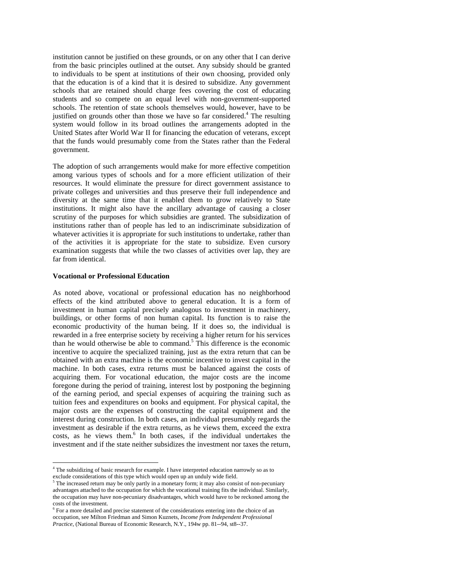institution cannot be justified on these grounds, or on any other that I can derive from the basic principles outlined at the outset. Any subsidy should be granted to individuals to be spent at institutions of their own choosing, provided only that the education is of a kind that it is desired to subsidize. Any government schools that are retained should charge fees covering the cost of educating students and so compete on an equal level with non-government-supported schools. The retention of state schools themselves would, however, have to be justified on grounds other than those we have so far considered.<sup>[4](#page-7-0)</sup> The resulting system would follow in its broad outlines the arrangements adopted in the United States after World War II for financing the education of veterans, except that the funds would presumably come from the States rather than the Federal government.

The adoption of such arrangements would make for more effective competition among various types of schools and for a more efficient utilization of their resources. It would eliminate the pressure for direct government assistance to private colleges and universities and thus preserve their full independence and diversity at the same time that it enabled them to grow relatively to State institutions. It might also have the ancillary advantage of causing a closer scrutiny of the purposes for which subsidies are granted. The subsidization of institutions rather than of people has led to an indiscriminate subsidization of whatever activities it is appropriate for such institutions to undertake, rather than of the activities it is appropriate for the state to subsidize. Even cursory examination suggests that while the two classes of activities over lap, they are far from identical.

## **Vocational or Professional Education**

 $\overline{a}$ 

As noted above, vocational or professional education has no neighborhood effects of the kind attributed above to general education. It is a form of investment in human capital precisely analogous to investment in machinery, buildings, or other forms of non human capital. Its function is to raise the economic productivity of the human being. If it does so, the individual is rewarded in a free enterprise society by receiving a higher return for his services thanhe would otherwise be able to command.<sup>5</sup> This difference is the economic incentive to acquire the specialized training, just as the extra return that can be obtained with an extra machine is the economic incentive to invest capital in the machine. In both cases, extra returns must be balanced against the costs of acquiring them. For vocational education, the major costs are the income foregone during the period of training, interest lost by postponing the beginning of the earning period, and special expenses of acquiring the training such as tuition fees and expenditures on books and equipment. For physical capital, the major costs are the expenses of constructing the capital equipment and the interest during construction. In both cases, an individual presumably regards the investment as desirable if the extra returns, as he views them, exceed the extra costs,as he views them.<sup>6</sup> In both cases, if the individual undertakes the investment and if the state neither subsidizes the investment nor taxes the return,

<span id="page-7-0"></span><sup>&</sup>lt;sup>4</sup> The subsidizing of basic research for example. I have interpreted education narrowly so as to exclude considerations of this type which would open up an unduly wide field.

<span id="page-7-1"></span>The increased return may be only partly in a monetary form; it may also consist of non-pecuniary advantages attached to the occupation for which the vocational training fits the individual. Similarly, the occupation may have non-pecuniary disadvantages, which would have to be reckoned among the costs of the investment.

<span id="page-7-2"></span> $6$  For a more detailed and precise statement of the considerations entering into the choice of an occupation, see Milton Friedman and Simon Kuznets, *Income from Independent Professional Practice*, (National Bureau of Economic Research, N.Y., 194w pp. 81--94, st8--37.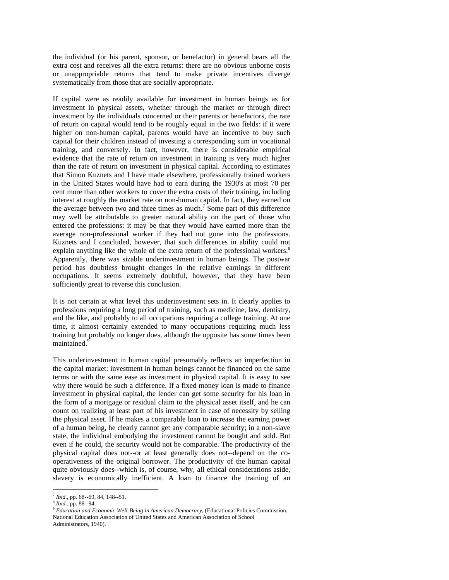the individual (or his parent, sponsor, or benefactor) in general bears all the extra cost and receives all the extra returns: there are no obvious unborne costs or unappropriable returns that tend to make private incentives diverge systematically from those that are socially appropriate.

If capital were as readily available for investment in human beings as for investment in physical assets, whether through the market or through direct investment by the individuals concerned or their parents or benefactors, the rate of return on capital would tend to be roughly equal in the two fields: if it were higher on non-human capital, parents would have an incentive to buy such capital for their children instead of investing a corresponding sum in vocational training, and conversely. In fact, however, there is considerable empirical evidence that the rate of return on investment in training is very much higher than the rate of return on investment in physical capital. According to estimates that Simon Kuznets and I have made elsewhere, professionally trained workers in the United States would have had to earn during the 1930's at most 70 per cent more than other workers to cover the extra costs of their training, including interest at roughly the market rate on non-human capital. In fact, they earned on the average between two and three times as much.<sup>7</sup> [S](#page-8-0)ome part of this difference may well be attributable to greater natural ability on the part of those who entered the professions: it may be that they would have earned more than the average non-professional worker if they had not gone into the professions. Kuznets and I concluded, however, that such differences in ability could not explain anything like the whole of the extra return of the professional workers.<sup>[8](#page-8-1)</sup> Apparently, there was sizable underinvestment in human beings. The postwar period has doubtless brought changes in the relative earnings in different occupations. It seems extremely doubtful, however, that they have been sufficiently great to reverse this conclusion.

It is not certain at what level this underinvestment sets in. It clearly applies to professions requiring a long period of training, such as medicine, law, dentistry, and the like, and probably to all occupations requiring a college training. At one time, it almost certainly extended to many occupations requiring much less training but probably no longer does, although the opposite has some times been maintained.<sup>[9](#page-8-2)</sup>

This underinvestment in human capital presumably reflects an imperfection in the capital market: investment in human beings cannot be financed on the same terms or with the same ease as investment in physical capital. It is easy to see why there would be such a difference. If a fixed money loan is made to finance investment in physical capital, the lender can get some security for his loan in the form of a mortgage or residual claim to the physical asset itself, and he can count on realizing at least part of his investment in case of necessity by selling the physical asset. If he makes a comparable loan to increase the earning power of a human being, he clearly cannot get any comparable security; in a non-slave state, the individual embodying the investment cannot be bought and sold. But even if he could, the security would not be comparable. The productivity of the physical capital does not--or at least generally does not--depend on the cooperativeness of the original borrower. The productivity of the human capital quite obviously does--which is, of course, why, all ethical considerations aside, slavery is economically inefficient. A loan to finance the training of an

<span id="page-8-2"></span><span id="page-8-1"></span>

<span id="page-8-0"></span><sup>7</sup> *Ibid.*, pp. 68--69, 84, 148--51. 8 *Ibid.*, pp. 88--94. 9 *Education and Economic Well-Being in American Democracy*, (Educational Policies Commission, National Education Association of United States and American Association of School Administrators, 1940).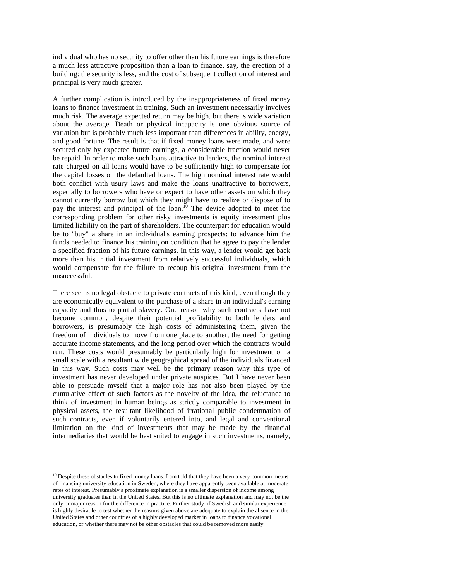individual who has no security to offer other than his future earnings is therefore a much less attractive proposition than a loan to finance, say, the erection of a building: the security is less, and the cost of subsequent collection of interest and principal is very much greater.

A further complication is introduced by the inappropriateness of fixed money loans to finance investment in training. Such an investment necessarily involves much risk. The average expected return may be high, but there is wide variation about the average. Death or physical incapacity is one obvious source of variation but is probably much less important than differences in ability, energy, and good fortune. The result is that if fixed money loans were made, and were secured only by expected future earnings, a considerable fraction would never be repaid. In order to make such loans attractive to lenders, the nominal interest rate charged on all loans would have to be sufficiently high to compensate for the capital losses on the defaulted loans. The high nominal interest rate would both conflict with usury laws and make the loans unattractive to borrowers, especially to borrowers who have or expect to have other assets on which they cannot currently borrow but which they might have to realize or dispose of to pay the interest and principal of the loan.<sup>10</sup> The device adopted to meet the corresponding problem for other risky investments is equity investment plus limited liability on the part of shareholders. The counterpart for education would be to "buy" a share in an individual's earning prospects: to advance him the funds needed to finance his training on condition that he agree to pay the lender a specified fraction of his future earnings. In this way, a lender would get back more than his initial investment from relatively successful individuals, which would compensate for the failure to recoup his original investment from the unsuccessful.

There seems no legal obstacle to private contracts of this kind, even though they are economically equivalent to the purchase of a share in an individual's earning capacity and thus to partial slavery. One reason why such contracts have not become common, despite their potential profitability to both lenders and borrowers, is presumably the high costs of administering them, given the freedom of individuals to move from one place to another, the need for getting accurate income statements, and the long period over which the contracts would run. These costs would presumably be particularly high for investment on a small scale with a resultant wide geographical spread of the individuals financed in this way. Such costs may well be the primary reason why this type of investment has never developed under private auspices. But I have never been able to persuade myself that a major role has not also been played by the cumulative effect of such factors as the novelty of the idea, the reluctance to think of investment in human beings as strictly comparable to investment in physical assets, the resultant likelihood of irrational public condemnation of such contracts, even if voluntarily entered into, and legal and conventional limitation on the kind of investments that may be made by the financial intermediaries that would be best suited to engage in such investments, namely,

<span id="page-9-0"></span><sup>&</sup>lt;sup>10</sup> Despite these obstacles to fixed money loans, I am told that they have been a very common means of financing university education in Sweden, where they have apparently been available at moderate rates of interest. Presumably a proximate explanation is a smaller dispersion of income among university graduates than in the United States. But this is no ultimate explanation and may not be the only or major reason for the difference in practice. Further study of Swedish and similar experience is highly desirable to test whether the reasons given above are adequate to explain the absence in the United States and other countries of a highly developed market in loans to finance vocational education, or whether there may not be other obstacles that could be removed more easily.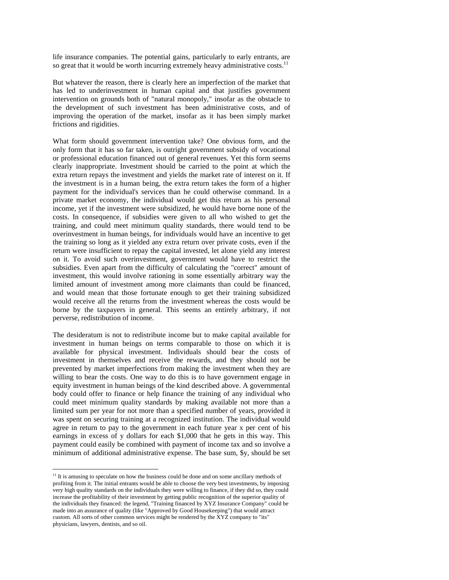life insurance companies. The potential gains, particularly to early entrants, are so great that it would be worth incurring extremely heavy administrative costs.<sup>11</sup>

But whatever the reason, there is clearly here an imperfection of the market that has led to underinvestment in human capital and that justifies government intervention on grounds both of "natural monopoly," insofar as the obstacle to the development of such investment has been administrative costs, and of improving the operation of the market, insofar as it has been simply market frictions and rigidities.

What form should government intervention take? One obvious form, and the only form that it has so far taken, is outright government subsidy of vocational or professional education financed out of general revenues. Yet this form seems clearly inappropriate. Investment should be carried to the point at which the extra return repays the investment and yields the market rate of interest on it. If the investment is in a human being, the extra return takes the form of a higher payment for the individual's services than he could otherwise command. In a private market economy, the individual would get this return as his personal income, yet if the investment were subsidized, he would have borne none of the costs. In consequence, if subsidies were given to all who wished to get the training, and could meet minimum quality standards, there would tend to be overinvestment in human beings, for individuals would have an incentive to get the training so long as it yielded any extra return over private costs, even if the return were insufficient to repay the capital invested, let alone yield any interest on it. To avoid such overinvestment, government would have to restrict the subsidies. Even apart from the difficulty of calculating the "correct" amount of investment, this would involve rationing in some essentially arbitrary way the limited amount of investment among more claimants than could be financed, and would mean that those fortunate enough to get their training subsidized would receive all the returns from the investment whereas the costs would be borne by the taxpayers in general. This seems an entirely arbitrary, if not perverse, redistribution of income.

The desideratum is not to redistribute income but to make capital available for investment in human beings on terms comparable to those on which it is available for physical investment. Individuals should bear the costs of investment in themselves and receive the rewards, and they should not be prevented by market imperfections from making the investment when they are willing to bear the costs. One way to do this is to have government engage in equity investment in human beings of the kind described above. A governmental body could offer to finance or help finance the training of any individual who could meet minimum quality standards by making available not more than a limited sum per year for not more than a specified number of years, provided it was spent on securing training at a recognized institution. The individual would agree in return to pay to the government in each future year x per cent of his earnings in excess of y dollars for each \$1,000 that he gets in this way. This payment could easily be combined with payment of income tax and so involve a minimum of additional administrative expense. The base sum, \$y, should be set

<span id="page-10-0"></span><sup>&</sup>lt;sup>11</sup> It is amusing to speculate on how the business could be done and on some ancillary methods of profiting from it. The initial entrants would be able to choose the very best investments, by imposing very high quality standards on the individuals they were willing to finance, if they did so, they could increase the profitability of their investment by getting public recognition of the superior quality of the individuals they financed: the legend, "Training financed by XYZ Insurance Company" could be made into an assurance of quality (like "Approved by Good Housekeeping") that would attract custom. All sorts of other common services might he rendered by the XYZ company to "its" physicians, lawyers, dentists, and so oil.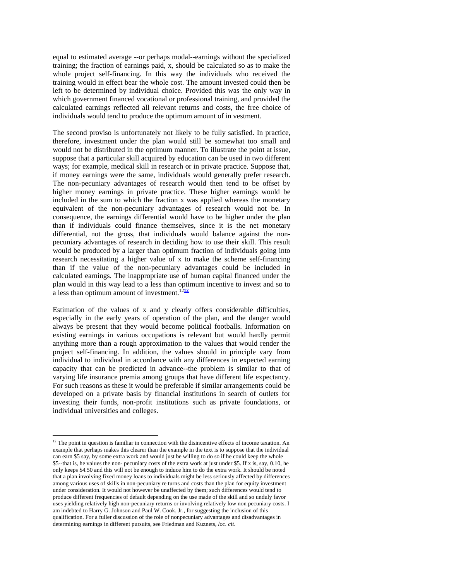equal to estimated average --or perhaps modal--earnings without the specialized training; the fraction of earnings paid, x, should be calculated so as to make the whole project self-financing. In this way the individuals who received the training would in effect bear the whole cost. The amount invested could then be left to be determined by individual choice. Provided this was the only way in which government financed vocational or professional training, and provided the calculated earnings reflected all relevant returns and costs, the free choice of individuals would tend to produce the optimum amount of in vestment.

The second proviso is unfortunately not likely to be fully satisfied. In practice, therefore, investment under the plan would still be somewhat too small and would not be distributed in the optimum manner. To illustrate the point at issue, suppose that a particular skill acquired by education can be used in two different ways; for example, medical skill in research or in private practice. Suppose that, if money earnings were the same, individuals would generally prefer research. The non-pecuniary advantages of research would then tend to be offset by higher money earnings in private practice. These higher earnings would be included in the sum to which the fraction x was applied whereas the monetary equivalent of the non-pecuniary advantages of research would not be. In consequence, the earnings differential would have to be higher under the plan than if individuals could finance themselves, since it is the net monetary differential, not the gross, that individuals would balance against the nonpecuniary advantages of research in deciding how to use their skill. This result would be produced by a larger than optimum fraction of individuals going into research necessitating a higher value of x to make the scheme self-financing than if the value of the non-pecuniary advantages could be included in calculated earnings. The inappropriate use of human capital financed under the plan would in this way lead to a less than optimum incentive to invest and so to a less than optimum amount of investment.[12](#page-11-0)**12**

Estimation of the values of x and y clearly offers considerable difficulties, especially in the early years of operation of the plan, and the danger would always be present that they would become political footballs. Information on existing earnings in various occupations is relevant but would hardly permit anything more than a rough approximation to the values that would render the project self-financing. In addition, the values should in principle vary from individual to individual in accordance with any differences in expected earning capacity that can be predicted in advance--the problem is similar to that of varying life insurance premia among groups that have different life expectancy. For such reasons as these it would be preferable if similar arrangements could be developed on a private basis by financial institutions in search of outlets for investing their funds, non-profit institutions such as private foundations, or individual universities and colleges.

<span id="page-11-0"></span> $12$ <sup>12</sup> The point in question is familiar in connection with the disincentive effects of income taxation. An example that perhaps makes this clearer than the example in the text is to suppose that the individual can earn \$5 say, by some extra work and would just be willing to do so if he could keep the whole \$5--that is, he values the non- pecuniary costs of the extra work at just under \$5. If x is, say, 0.10, he only keeps \$4.50 and this will not be enough to induce him to do the extra work. It should be noted that a plan involving fixed money loans to individuals might be less seriously affected by differences among various uses of skills in non-pecuniary re turns and costs than the plan for equity investment under consideration. It would not however be unaffected by them; such differences would tend to produce different frequencies of default depending on the use made of the skill and so unduly favor uses yielding relatively high non-pecuniary returns or involving relatively low non pecuniary costs. I am indebted to Harry G. Johnson and Paul W. Cook, Jr., for suggesting the inclusion of this qualification. For a fuller discussion of the role of nonpecuniary advantages and disadvantages in determining earnings in different pursuits, see Friedman and Kuznets, *loc. cit*.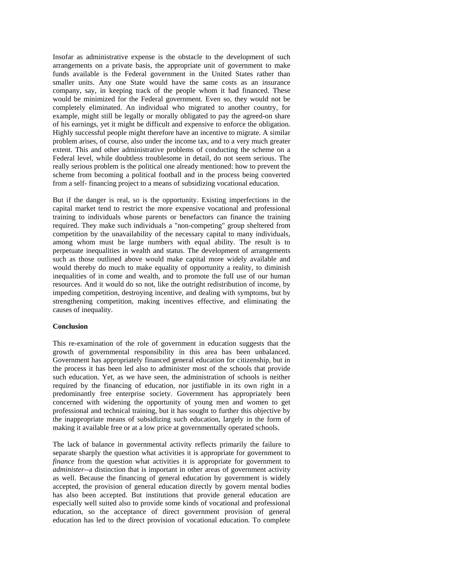Insofar as administrative expense is the obstacle to the development of such arrangements on a private basis, the appropriate unit of government to make funds available is the Federal government in the United States rather than smaller units. Any one State would have the same costs as an insurance company, say, in keeping track of the people whom it had financed. These would be minimized for the Federal government. Even so, they would not be completely eliminated. An individual who migrated to another country, for example, might still be legally or morally obligated to pay the agreed-on share of his earnings, yet it might be difficult and expensive to enforce the obligation. Highly successful people might therefore have an incentive to migrate. A similar problem arises, of course, also under the income tax, and to a very much greater extent. This and other administrative problems of conducting the scheme on a Federal level, while doubtless troublesome in detail, do not seem serious. The really serious problem is the political one already mentioned: how to prevent the scheme from becoming a political football and in the process being converted from a self- financing project to a means of subsidizing vocational education.

But if the danger is real, so is the opportunity. Existing imperfections in the capital market tend to restrict the more expensive vocational and professional training to individuals whose parents or benefactors can finance the training required. They make such individuals a "non-competing" group sheltered from competition by the unavailability of the necessary capital to many individuals, among whom must be large numbers with equal ability. The result is to perpetuate inequalities in wealth and status. The development of arrangements such as those outlined above would make capital more widely available and would thereby do much to make equality of opportunity a reality, to diminish inequalities of in come and wealth, and to promote the full use of our human resources. And it would do so not, like the outright redistribution of income, by impeding competition, destroying incentive, and dealing with symptoms, but by strengthening competition, making incentives effective, and eliminating the causes of inequality.

## **Conclusion**

This re-examination of the role of government in education suggests that the growth of governmental responsibility in this area has been unbalanced. Government has appropriately financed general education for citizenship, but in the process it has been led also to administer most of the schools that provide such education. Yet, as we have seen, the administration of schools is neither required by the financing of education, nor justifiable in its own right in a predominantly free enterprise society. Government has appropriately been concerned with widening the opportunity of young men and women to get professional and technical training, but it has sought to further this objective by the inappropriate means of subsidizing such education, largely in the form of making it available free or at a low price at governmentally operated schools.

The lack of balance in governmental activity reflects primarily the failure to separate sharply the question what activities it is appropriate for government to *finance* from the question what activities it is appropriate for government to *administer*--a distinction that is important in other areas of government activity as well. Because the financing of general education by government is widely accepted, the provision of general education directly by govern mental bodies has also been accepted. But institutions that provide general education are especially well suited also to provide some kinds of vocational and professional education, so the acceptance of direct government provision of general education has led to the direct provision of vocational education. To complete